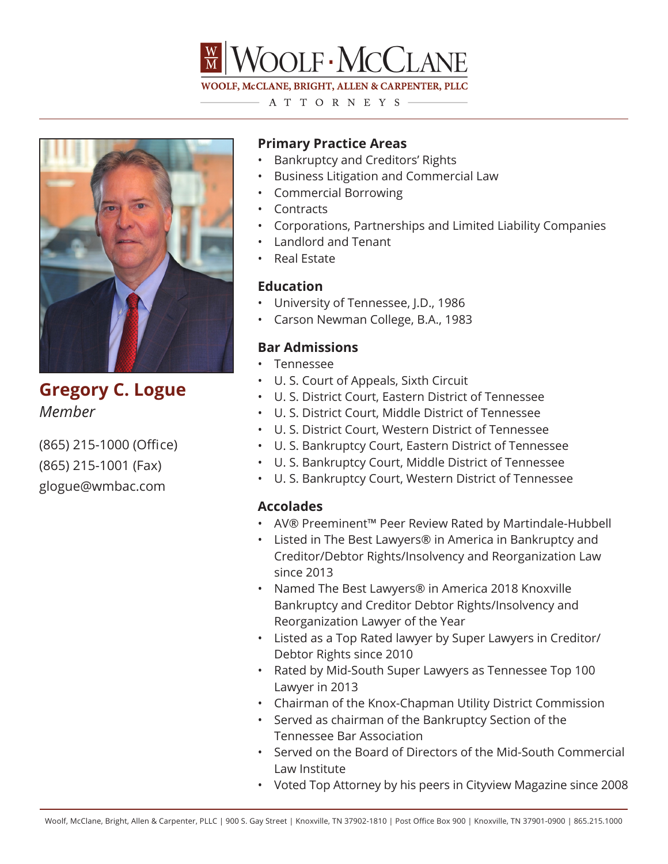

WOOLF, McCLANE, BRIGHT, ALLEN & CARPENTER, PLLC A T T O R N E Y S  $-$ 

**Gregory C. Logue** *Member*

(865) 215-1000 (Office) (865) 215-1001 (Fax) glogue@wmbac.com

# **Primary Practice Areas**

- Bankruptcy and Creditors' Rights
- Business Litigation and Commercial Law
- Commercial Borrowing
- Contracts
- Corporations, Partnerships and Limited Liability Companies
- Landlord and Tenant
- Real Estate

### **Education**

- University of Tennessee, J.D., 1986
- Carson Newman College, B.A., 1983

## **Bar Admissions**

- Tennessee
- U. S. Court of Appeals, Sixth Circuit
- U. S. District Court, Eastern District of Tennessee
- U. S. District Court, Middle District of Tennessee
- U. S. District Court, Western District of Tennessee
- U. S. Bankruptcy Court, Eastern District of Tennessee
- U. S. Bankruptcy Court, Middle District of Tennessee
- U. S. Bankruptcy Court, Western District of Tennessee

#### **Accolades**

- AV® Preeminent™ Peer Review Rated by Martindale-Hubbell
- Listed in The Best Lawyers® in America in Bankruptcy and Creditor/Debtor Rights/Insolvency and Reorganization Law since 2013
- Named The Best Lawyers® in America 2018 Knoxville Bankruptcy and Creditor Debtor Rights/Insolvency and Reorganization Lawyer of the Year
- Listed as a Top Rated lawyer by Super Lawyers in Creditor/ Debtor Rights since 2010
- Rated by Mid-South Super Lawyers as Tennessee Top 100 Lawyer in 2013
- Chairman of the Knox-Chapman Utility District Commission
- Served as chairman of the Bankruptcy Section of the Tennessee Bar Association
- Served on the Board of Directors of the Mid-South Commercial Law Institute
- Voted Top Attorney by his peers in Cityview Magazine since 2008